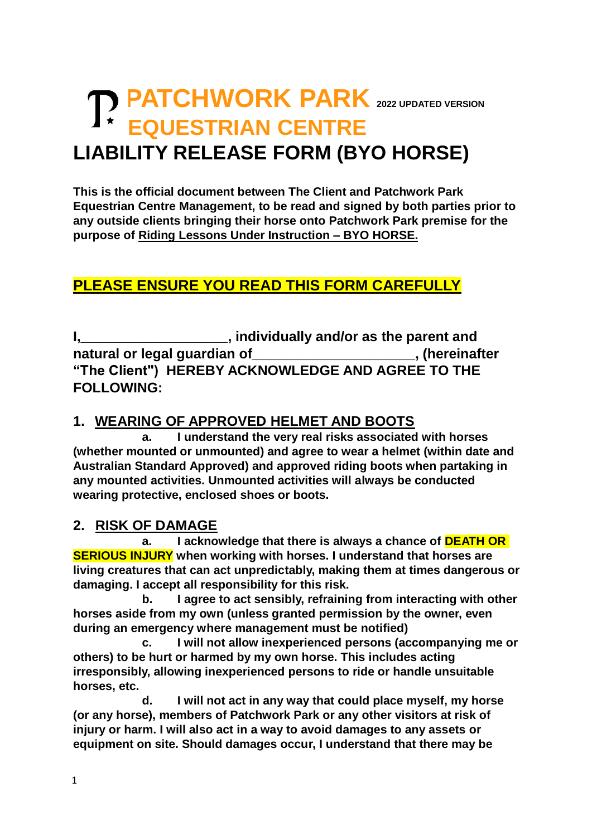# **PATCHWORK PARK <sup>2022</sup> UPDATED VERSION** *A* **\* EQUESTRIAN CENTRE LIABILITY RELEASE FORM (BYO HORSE)**

**This is the official document between The Client and Patchwork Park Equestrian Centre Management, to be read and signed by both parties prior to any outside clients bringing their horse onto Patchwork Park premise for the purpose of Riding Lessons Under Instruction – BYO HORSE.**

## **PLEASE ENSURE YOU READ THIS FORM CAREFULLY**

**I,\_\_\_\_\_\_\_\_\_\_\_\_\_\_\_\_\_\_\_, individually and/or as the parent and natural or legal guardian of\_\_\_\_\_\_\_\_\_\_\_\_\_\_\_\_\_\_\_\_\_, (hereinafter "The Client") HEREBY ACKNOWLEDGE AND AGREE TO THE FOLLOWING:**

#### **1. WEARING OF APPROVED HELMET AND BOOTS**

**a. I understand the very real risks associated with horses (whether mounted or unmounted) and agree to wear a helmet (within date and Australian Standard Approved) and approved riding boots when partaking in any mounted activities. Unmounted activities will always be conducted wearing protective, enclosed shoes or boots.** 

#### **2. RISK OF DAMAGE**

**a. I acknowledge that there is always a chance of DEATH OR SERIOUS INJURY when working with horses. I understand that horses are living creatures that can act unpredictably, making them at times dangerous or damaging. I accept all responsibility for this risk.**

**b. I agree to act sensibly, refraining from interacting with other horses aside from my own (unless granted permission by the owner, even during an emergency where management must be notified)** 

**c. I will not allow inexperienced persons (accompanying me or others) to be hurt or harmed by my own horse. This includes acting irresponsibly, allowing inexperienced persons to ride or handle unsuitable horses, etc.** 

**d. I will not act in any way that could place myself, my horse (or any horse), members of Patchwork Park or any other visitors at risk of injury or harm. I will also act in a way to avoid damages to any assets or equipment on site. Should damages occur, I understand that there may be**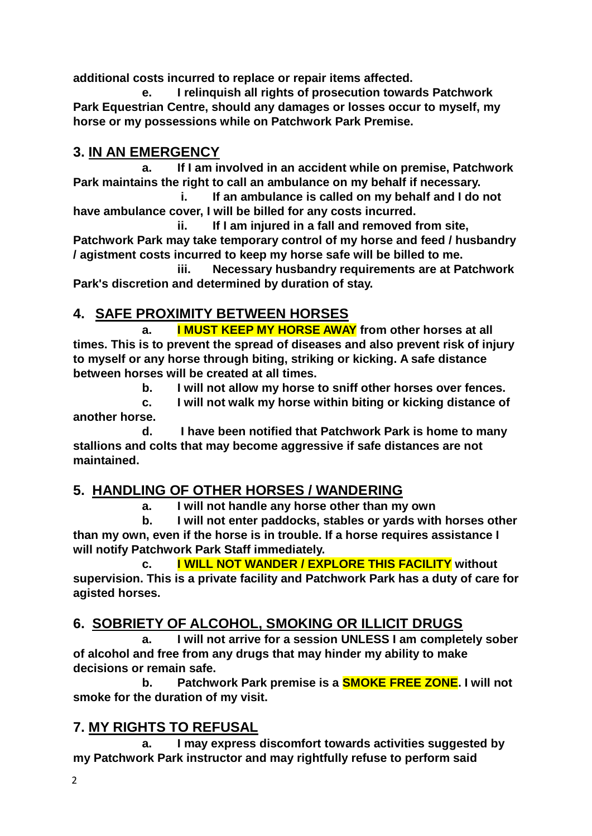**additional costs incurred to replace or repair items affected.** 

 **e. I relinquish all rights of prosecution towards Patchwork Park Equestrian Centre, should any damages or losses occur to myself, my horse or my possessions while on Patchwork Park Premise.**

## **3. IN AN EMERGENCY**

**a. If I am involved in an accident while on premise, Patchwork Park maintains the right to call an ambulance on my behalf if necessary.** 

**i. If an ambulance is called on my behalf and I do not have ambulance cover, I will be billed for any costs incurred.**

**ii. If I am injured in a fall and removed from site, Patchwork Park may take temporary control of my horse and feed / husbandry / agistment costs incurred to keep my horse safe will be billed to me.**

**iii. Necessary husbandry requirements are at Patchwork Park's discretion and determined by duration of stay.**

## **4. SAFE PROXIMITY BETWEEN HORSES**

**a. I MUST KEEP MY HORSE AWAY from other horses at all times. This is to prevent the spread of diseases and also prevent risk of injury to myself or any horse through biting, striking or kicking. A safe distance between horses will be created at all times.** 

**b. I will not allow my horse to sniff other horses over fences.**

**c. I will not walk my horse within biting or kicking distance of another horse.**

**d. I have been notified that Patchwork Park is home to many stallions and colts that may become aggressive if safe distances are not maintained.**

## **5. HANDLING OF OTHER HORSES / WANDERING**

**a. I will not handle any horse other than my own**

**b. I will not enter paddocks, stables or yards with horses other than my own, even if the horse is in trouble. If a horse requires assistance I will notify Patchwork Park Staff immediately.**

**c. I WILL NOT WANDER / EXPLORE THIS FACILITY without supervision. This is a private facility and Patchwork Park has a duty of care for agisted horses.** 

## **6. SOBRIETY OF ALCOHOL, SMOKING OR ILLICIT DRUGS**

**a. I will not arrive for a session UNLESS I am completely sober of alcohol and free from any drugs that may hinder my ability to make decisions or remain safe.**

**b. Patchwork Park premise is a SMOKE FREE ZONE. I will not smoke for the duration of my visit.**

## **7. MY RIGHTS TO REFUSAL**

**a. I may express discomfort towards activities suggested by my Patchwork Park instructor and may rightfully refuse to perform said**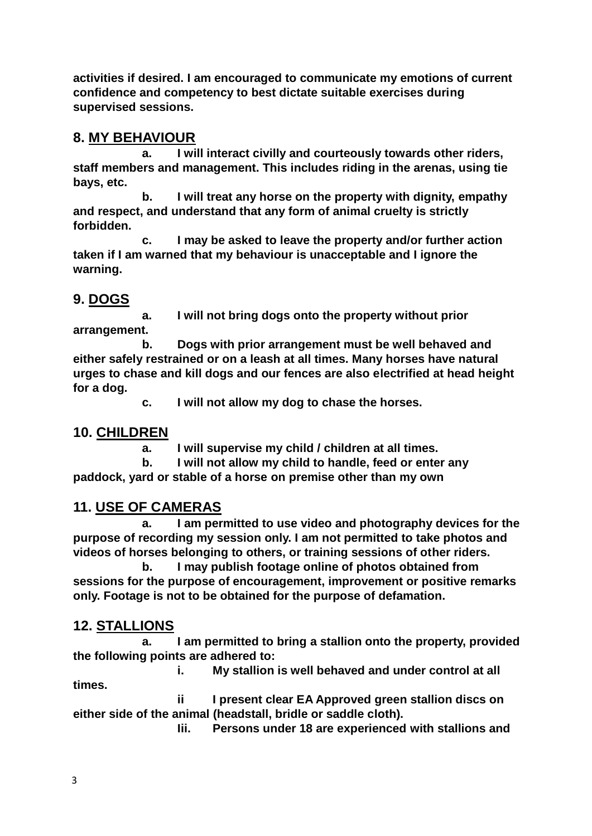**activities if desired. I am encouraged to communicate my emotions of current confidence and competency to best dictate suitable exercises during supervised sessions.** 

#### **8. MY BEHAVIOUR**

**a. I will interact civilly and courteously towards other riders, staff members and management. This includes riding in the arenas, using tie bays, etc.**

**b. I will treat any horse on the property with dignity, empathy and respect, and understand that any form of animal cruelty is strictly forbidden.** 

**c. I may be asked to leave the property and/or further action taken if I am warned that my behaviour is unacceptable and I ignore the warning.** 

### **9. DOGS**

**a. I will not bring dogs onto the property without prior arrangement.**

**b. Dogs with prior arrangement must be well behaved and either safely restrained or on a leash at all times. Many horses have natural urges to chase and kill dogs and our fences are also electrified at head height for a dog.** 

**c. I will not allow my dog to chase the horses.**

#### **10. CHILDREN**

**a. I will supervise my child / children at all times.**

**b. I will not allow my child to handle, feed or enter any paddock, yard or stable of a horse on premise other than my own**

#### **11. USE OF CAMERAS**

**a. I am permitted to use video and photography devices for the purpose of recording my session only. I am not permitted to take photos and videos of horses belonging to others, or training sessions of other riders.**

**b. I may publish footage online of photos obtained from sessions for the purpose of encouragement, improvement or positive remarks only. Footage is not to be obtained for the purpose of defamation.**

#### **12. STALLIONS**

**a. I am permitted to bring a stallion onto the property, provided the following points are adhered to:**

**i. My stallion is well behaved and under control at all times.**

**ii I present clear EA Approved green stallion discs on either side of the animal (headstall, bridle or saddle cloth).**

**Iii. Persons under 18 are experienced with stallions and**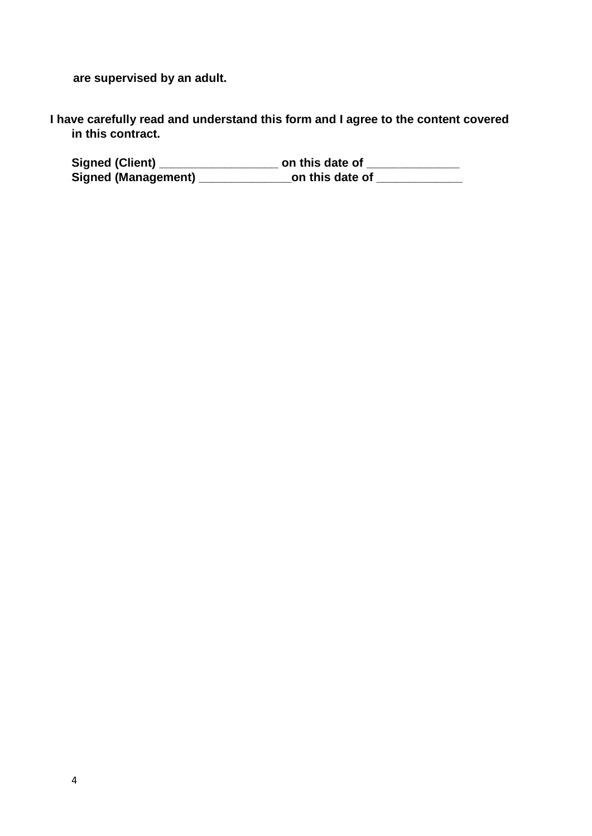**are supervised by an adult.**

**I have carefully read and understand this form and I agree to the content covered in this contract.** 

**Signed (Client) \_\_\_\_\_\_\_\_\_\_\_\_\_\_\_\_\_\_ on this date of \_\_\_\_\_\_\_\_\_\_\_\_\_\_ Signed (Management) \_\_\_\_\_\_\_\_\_\_\_\_\_\_on this date of \_\_\_\_\_\_\_\_\_\_\_\_\_**